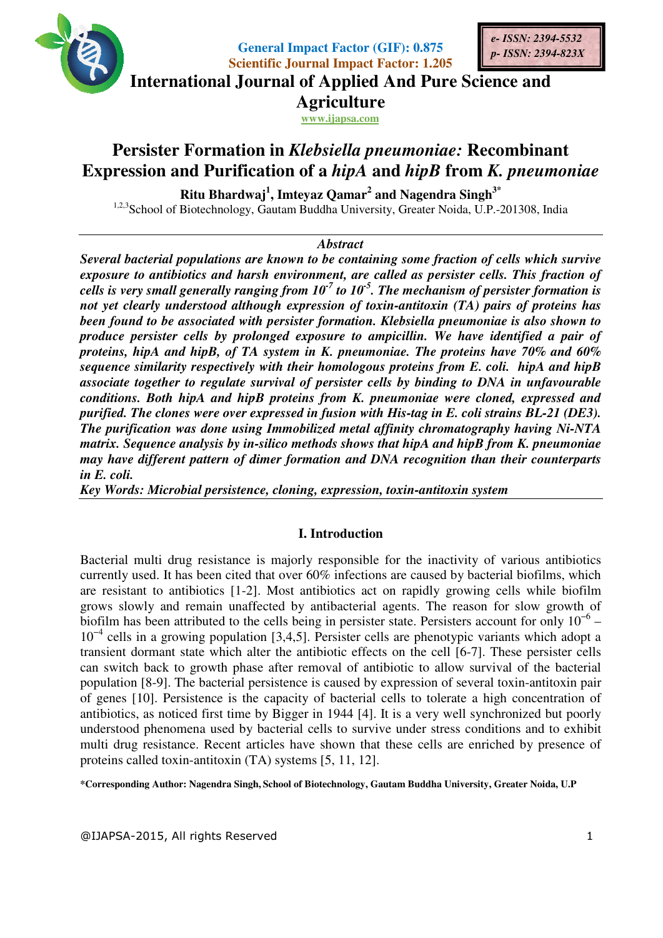

**General Impact Factor (GIF): 0.875 Scientific Journal Impact Factor: 1.205** 



**International Journal of Applied And Pure Science and International Journal Science Agriculture**

**www.ijapsa.com** 

# **Persister Formation in** *Klebsiella pneumoniae:* **Recombinant Recombinant Expression and Purification of a**  *hipA* **and** *hipB* **from** *K. pneumoniae*

**Ritu Bhardwaj Bhardwaj<sup>1</sup> , Imteyaz Qamar<sup>2</sup> and Nagendra Singh3\***

1,2,3 School of Biotechnology, Gautam Buddha University, Greater Noida, U.P.-201308, India

# *Abstract*

**Several bacterial populations are known to be containing some fraction of cells which survive** exposure to antibiotics and harsh environment, are called as persister cells. This fraction of *cells is very small generally ranging from 10 10-7 to 10-5 . The mechanism of persister formation is*  not yet clearly understood although expression of toxin-antitoxin (TA) pairs of proteins has been found to be associated with persister formation. Klebsiella pneumoniae is produce persister cells by prolonged exposure to ampicillin. We have identified a pair of *proteins, hipA and hipB, of TA system in K. pneumoniae. The proteins have 70% and 60% sequence similarity respectively with their homologous proteins from E. coli. hipA and hipB associate together to regulate survival of persister cells by binding to DNA in unfavourable conditions. Both hipA and hip* conditions. Both hipA and hipB proteins from K. pneumoniae were cloned, expressed and<br>purified. The clones were over expressed in fusion with His-tag in E. coli strains BL-21 (DE3). *The purification was done using Immobilized metal affinity chromatography having Ni Ni-NTA*  The purification was done using Immobilized metal affinity chromatography having Ni-NTA<br>matrix. Sequence analysis by in-silico methods shows that hipA and hipB from K. pneumoniae may have different pattern of dimer formation and DNA recognition than their counterparts *in E. coli. v* respectively with their homologous proteins from E. coli. hipA and hipB<br>to regulate survival of persister cells by binding to DNA in unfavourable<br>ipA and hipB proteins from K. pneumoniae were cloned, expressed and *containing some fraction of cells which survive*<br>*t, are called as persister cells. This fraction of*<br>*to 10<sup>-5</sup>. The mechanism of persister formation is*<br>*n of toxin-antitoxin (TA) pairs of proteins has*<br>*nation. Klebsie B cognition their counterparts* 

*Key Words: Microbial persistence, cloning, expression, toxin toxin-antitoxin system*

# **I. Introduction**

Bacterial multi drug resistance is majorly responsible for the inactivity of various antibiotics currently used. It has been cited that over 60% infections are caused by bacterial biofilms, which are resistant to antibiotics [1-2]. Most antibiotics act on rapidly growing cells while biofilm grows slowly and remain unaffected by antibacterial agents. The reason biofilm has been attributed to the cells being in persister state. Persisters account for only  $10^{-6}$  – biofilm has been attributed to the cells being in persister state. Persisters account for only  $10^{-6} - 10^{-4}$  cells in a growing population [3,4,5]. Persister cells are phenotypic variants which adopt a transient dormant state which alter the antibiotic effects on the cell [6-7]. These persister cells can switch back to growth phase after removal of antibiotic to allow survival of the bacterial population [8-9]. The bacterial persistence is caused by expression of several toxin of genes [10]. Persistence is the capacity of bacterial cells to tolerate a high concentration of antibiotics, as noticed first time by Bigger in 1944 [4]. It is a very well synchronized but poorly can switch back to growth phase after removal of antibiotic to allow survival of the bacterial population [8-9]. The bacterial persistence is caused by expression of several toxin-antitoxin pair of genes [10]. Persistence multi drug resistance. Recent articles have shown that these cells are enriched by presence of proteins called toxin-antitoxin (TA) systems [5, 11, 12]. proteins called toxin-antitoxin (TA) systems [5, 11, 12]. multi drug resistance is majorly responsible for the inactivity of various antibiotics used. It has been cited that over 60% infections are caused by bacterial biofilms, which ant to antibiotics [1-2]. Most antibiotics act 7]. These persister cells<br>survival of the bacterial<br>veral toxin-antitoxin pair

**\*Corresponding Author: Nagendra Singh Singh, School of Biotechnology, Gautam Buddha University, Greater Noida, U.P of Biotechnology,**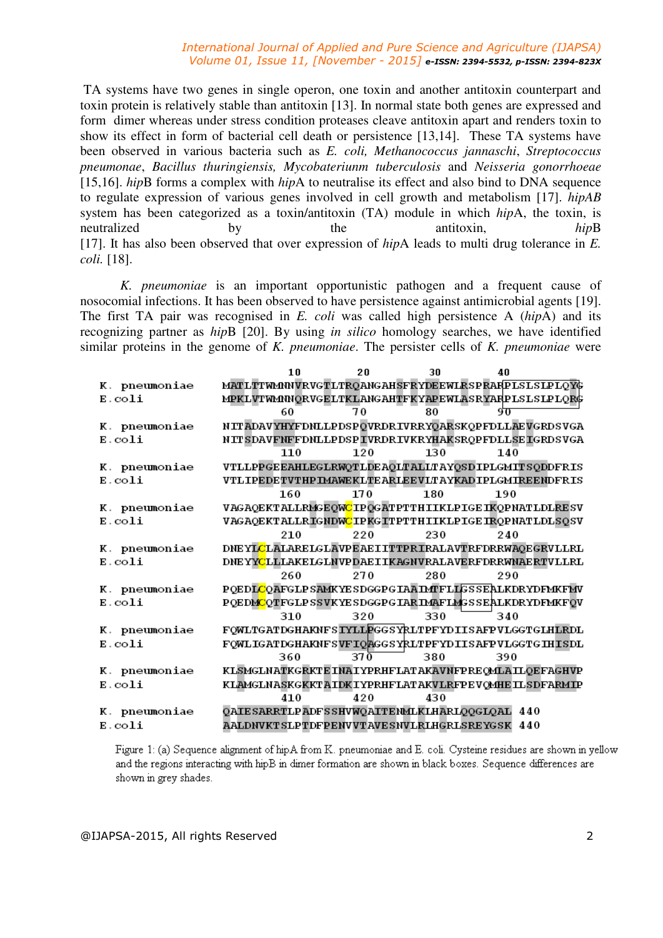#### *International Journal of Applied and Pure Science and Agriculture (IJAPSA) Volume 01, Issue 11, [November - 2015] e-ISSN: 2394-5532, p-ISSN: 2394-823X*

 TA systems have two genes in single operon, one toxin and another antitoxin counterpart and toxin protein is relatively stable than antitoxin [13]. In normal state both genes are expressed and form dimer whereas under stress condition proteases cleave antitoxin apart and renders toxin to show its effect in form of bacterial cell death or persistence [13,14]. These TA systems have been observed in various bacteria such as *E. coli, Methanococcus jannaschi*, *Streptococcus pneumonae*, *Bacillus thuringiensis, Mycobateriunm tuberculosis* and *Neisseria gonorrhoeae* [15,16]. *hip*B forms a complex with *hip*A to neutralise its effect and also bind to DNA sequence to regulate expression of various genes involved in cell growth and metabolism [17]. *hipAB* system has been categorized as a toxin/antitoxin (TA) module in which *hip*A, the toxin, is neutralized by the antitoxin, *hip*B [17]. It has also been observed that over expression of *hip*A leads to multi drug tolerance in *E. coli.* [18].

*K. pneumoniae* is an important opportunistic pathogen and a frequent cause of nosocomial infections. It has been observed to have persistence against antimicrobial agents [19]. The first TA pair was recognised in *E. coli* was called high persistence A (*hip*A) and its recognizing partner as *hip*B [20]. By using *in silico* homology searches, we have identified similar proteins in the genome of *K. pneumoniae*. The persister cells of *K. pneumoniae* were

|                               | 10                                                                | 20   | 30  | 40  |  |
|-------------------------------|-------------------------------------------------------------------|------|-----|-----|--|
| K. pneumoniae                 | MATLTTWMNVRVGTLTRQANGAHSFRYDEEWLRSPRARPLSLSLPLQYG                 |      |     |     |  |
| $E.\overline{\mathrm{coli}}$  | MPKLVTWMMQRVGELTKLANGAHTFKYAPEWLASRYARPLSLSLPLQRG                 |      |     |     |  |
|                               | 60                                                                | 70   | 80  | 971 |  |
| K. pneumoniae                 | NITADAVYHYFDNLLPDSPQVRDRIVRRYQARSKQPFDLLAEVGRDSVGA                |      |     |     |  |
| $E.$ $coli$                   | NIT SDAVFNFFDNLLPDSP IVRDRIVKRYHAK SROPFDLL SE IGRDSVGA           |      |     |     |  |
|                               | 110                                                               | 120  | 130 | 140 |  |
| K. pneumoniae                 | VTLLPPGEEAHLEGLRWQTLDEAQLTALLTAYQSDIPLGMITSQDDFRIS                |      |     |     |  |
| $E.$ $coli$                   | VTLIPEDETVTHPIMAWEKLTEARLEEVLTAYKADIPLGMIREENDFRIS                |      |     |     |  |
|                               | 160                                                               | 170  | 180 | 190 |  |
| K. pneumoniae                 | VAGAQEKTALLRMGEQW <mark>C</mark> IPQGATPTTHIIKLPIGEIKQPNATLDLRESV |      |     |     |  |
| E.coli                        | VAGAQEKTALLRIGNDW <mark>C</mark> IPKGITPTTHIIKLPIGEIRQPNATLDLSQSV |      |     |     |  |
|                               | 210                                                               | 220  | 230 | 240 |  |
| K. pneumoniae                 | DNEYLCLALARELGLAVPEAEIITTPRIRALAVTRFDRRWAQEGRVLLRL                |      |     |     |  |
| $E.\overline{\mathrm{col}}$ i | DNEYYCLLLAKELGLNVPDAEIIKAGNVRALAVERFDRRWNAERTVLLRL                |      |     |     |  |
|                               | 260                                                               | 270  | 280 | 290 |  |
| K. pneumoniae                 | PQEDLCQAFGLPSAMKYESDGGPGIAAIMTFLLGSSEALKDRYDFMKFMV                |      |     |     |  |
| E.coli                        | PQEDMCQTFGLPSSVKYESDGGPGIARIMAFLMGSSEALKDRYDFMKFQV                |      |     |     |  |
|                               | 310                                                               | 320  | 330 | 340 |  |
| K. pneumoniae                 | FOWLTGATDGHAKNFSIYLLPGGSYRLTPFYDIISAFPVLGGTGLHLRDL                |      |     |     |  |
| $E.$ coli                     | FOWLIGATDGHAKNFSVFIQAGGSYRLTPFYDIISAFPVLGGTGIHISDL                |      |     |     |  |
|                               | 360                                                               | 37 O | 380 | 390 |  |
| K. pneumoniae                 | KLSMGLNATKGRKTEINAIYPRHFLATAKAVNFPREQMLAILQEFAGHVP                |      |     |     |  |
| $E.\overline{\mathrm{col}}$ i | KLAMGLNASKGKKTAIDKIYPRHFLATAKVLRFPEVOMHEILSDFARMIP                |      |     |     |  |
|                               | 410                                                               | 420  | 430 |     |  |
| K. pneumoniae                 | QAIESARRTLPADFSSHVWQAITENMLKLHARLQQGLQAL 440                      |      |     |     |  |
| E.coli                        | AALDNVKTSLPTDFPENVVTAVESNVLRLHGRLSREYGSK 440                      |      |     |     |  |

Figure 1: (a) Sequence alignment of hipA from K. pneumoniae and E. coli. Cysteine residues are shown in yellow and the regions interacting with hipB in dimer formation are shown in black boxes. Sequence differences are shown in grey shades.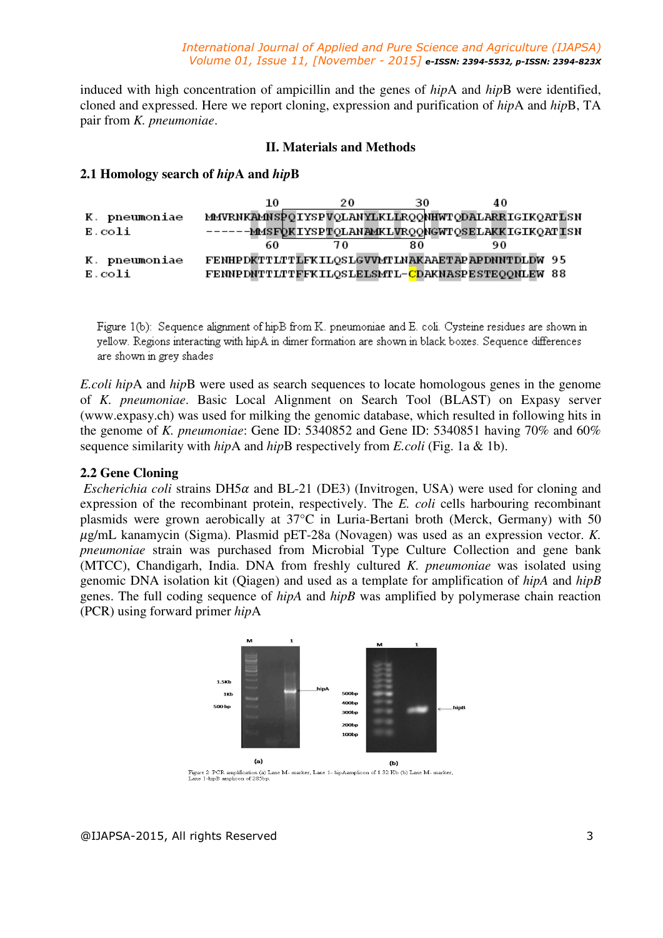induced with high concentration of ampicillin and the genes of *hip*A and *hip*B were identified, cloned and expressed. Here we report cloning, expression and purification of *hip*A and *hip*B, TA pair from *K. pneumoniae*.

# **II. Materials and Methods**

# **2.1 Homology search of** *hip***A and** *hip***B**

|               | 10 | 20 | 30 | 40                                                 |  |
|---------------|----|----|----|----------------------------------------------------|--|
| K. pneumoniae |    |    |    | MMVRNKAMNSPOIYSPVOLANYLKLIROONHWTODALARRIGIKOATLSN |  |
| E.coli        |    |    |    | -MMSFOKIYSPTOLANAMKLVROONGWTOSELAKKIGIKOATISN      |  |
|               | 60 | 70 | 80 |                                                    |  |
| K. pneumoniae |    |    |    | FENHPDKTTLTTLFKILQSLGVVMTLNAKAAETAPAPDNNTDLDW 95   |  |
| E.coli        |    |    |    | FENNPDNTTLTTFFKILQSLELSMTL-CDAKNASPESTEQQNLEW 88   |  |

Figure 1(b): Sequence alignment of hipB from K, pneumoniae and E, coli. Cysteine residues are shown in vellow. Regions interacting with hipA in dimer formation are shown in black boxes. Sequence differences are shown in grey shades

*E.coli hip*A and *hip*B were used as search sequences to locate homologous genes in the genome of *K. pneumoniae*. Basic Local Alignment on Search Tool (BLAST) on Expasy server (www.expasy.ch) was used for milking the genomic database, which resulted in following hits in the genome of *K. pneumoniae*: Gene ID: 5340852 and Gene ID: 5340851 having 70% and 60% sequence similarity with *hip*A and *hip*B respectively from *E.coli* (Fig. 1a & 1b).

### **2.2 Gene Cloning**

*Escherichia coli* strains DH5 $\alpha$  and BL-21 (DE3) (Invitrogen, USA) were used for cloning and expression of the recombinant protein, respectively. The *E. coli* cells harbouring recombinant plasmids were grown aerobically at 37°C in Luria-Bertani broth (Merck, Germany) with 50 -g/mL kanamycin (Sigma). Plasmid pET-28a (Novagen) was used as an expression vector. *K. pneumoniae* strain was purchased from Microbial Type Culture Collection and gene bank (MTCC), Chandigarh, India. DNA from freshly cultured *K. pneumoniae* was isolated using genomic DNA isolation kit (Qiagen) and used as a template for amplification of *hipA* and *hipB* genes. The full coding sequence of *hipA* and *hipB* was amplified by polymerase chain reaction (PCR) using forward primer *hip*A



Figure 2: PCR amplification (a) Lane M- marker, Lane 1- hipAamplicon of 1.32 Kb (b) Lane M- marker,<br>Lane 1-hipB amplicon of 285bp.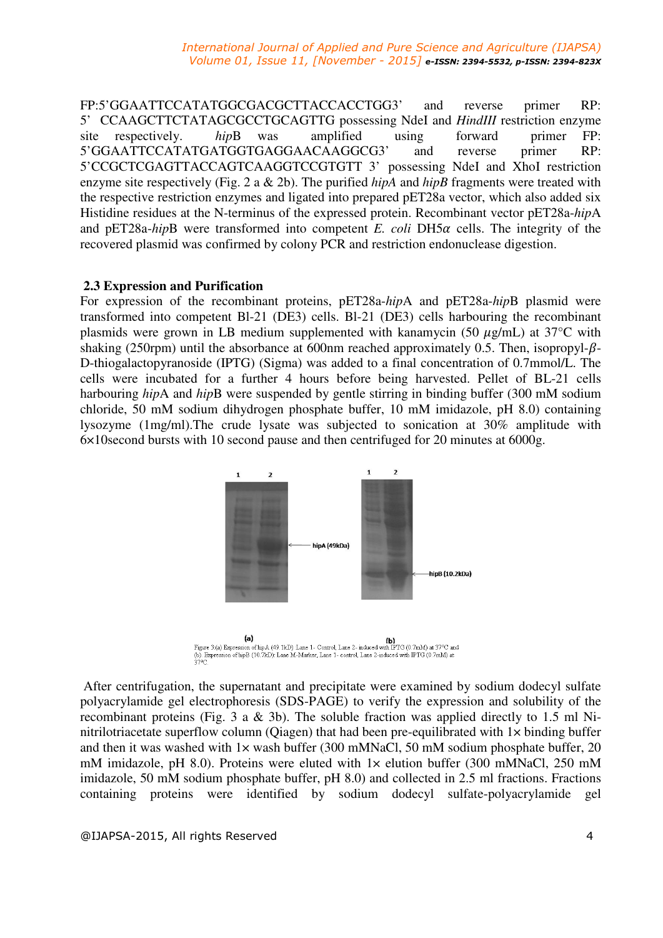FP:5'GGAATTCCATATGGCGACGCTTACCACCTGG3' and reverse primer RP: 5' CCAAGCTTCTATAGCGCCTGCAGTTG possessing NdeI and *HindIII* restriction enzyme site respectively. *hip*B was amplified using forward primer FP: 5'GGAATTCCATATGATGGTGAGGAACAAGGCG3' and reverse primer RP: 5'CCGCTCGAGTTACCAGTCAAGGTCCGTGTT 3' possessing NdeI and XhoI restriction enzyme site respectively (Fig. 2 a & 2b). The purified *hipA* and *hipB* fragments were treated with the respective restriction enzymes and ligated into prepared pET28a vector, which also added six Histidine residues at the N-terminus of the expressed protein. Recombinant vector pET28a-*hip*A and  $pET28a-hipB$  were transformed into competent *E. coli*  $DH5\alpha$  cells. The integrity of the recovered plasmid was confirmed by colony PCR and restriction endonuclease digestion.

# **2.3 Expression and Purification**

For expression of the recombinant proteins, pET28a-*hip*A and pET28a-*hip*B plasmid were transformed into competent Bl-21 (DE3) cells. Bl-21 (DE3) cells harbouring the recombinant plasmids were grown in LB medium supplemented with kanamycin (50  $\mu$ g/mL) at 37°C with shaking (250rpm) until the absorbance at 600nm reached approximately 0.5. Then, isopropyl- $\beta$ -D-thiogalactopyranoside (IPTG) (Sigma) was added to a final concentration of 0.7mmol/L. The cells were incubated for a further 4 hours before being harvested. Pellet of BL-21 cells harbouring *hip*A and *hip*B were suspended by gentle stirring in binding buffer (300 mM sodium chloride, 50 mM sodium dihydrogen phosphate buffer, 10 mM imidazole, pH 8.0) containing lysozyme (1mg/ml).The crude lysate was subjected to sonication at 30% amplitude with 6×10second bursts with 10 second pause and then centrifuged for 20 minutes at 6000g.



 After centrifugation, the supernatant and precipitate were examined by sodium dodecyl sulfate polyacrylamide gel electrophoresis (SDS-PAGE) to verify the expression and solubility of the recombinant proteins (Fig. 3 a & 3b). The soluble fraction was applied directly to 1.5 ml Ninitrilotriacetate superflow column (Qiagen) that had been pre-equilibrated with 1× binding buffer and then it was washed with  $1\times$  wash buffer (300 mMNaCl, 50 mM sodium phosphate buffer, 20 mM imidazole, pH 8.0). Proteins were eluted with  $1 \times$  elution buffer (300 mMNaCl, 250 mM imidazole, 50 mM sodium phosphate buffer, pH 8.0) and collected in 2.5 ml fractions. Fractions containing proteins were identified by sodium dodecyl sulfate-polyacrylamide gel

@IJAPSA-2015, All rights Reserved 4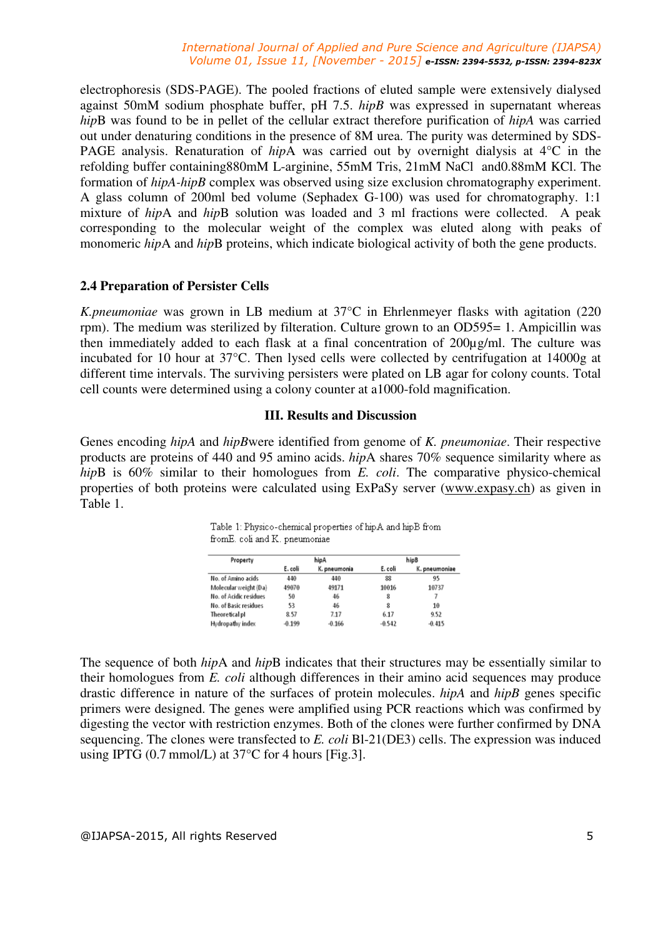#### *International Journal of Applied and Pure Science and Agriculture (IJAPSA) Volume 01, Issue 11, [November - 2015] e-ISSN: 2394-5532, p-ISSN: 2394-823X*

electrophoresis (SDS-PAGE). The pooled fractions of eluted sample were extensively dialysed against 50mM sodium phosphate buffer, pH 7.5. *hipB* was expressed in supernatant whereas *hip*B was found to be in pellet of the cellular extract therefore purification of *hipA* was carried out under denaturing conditions in the presence of 8M urea. The purity was determined by SDS-PAGE analysis. Renaturation of *hip*A was carried out by overnight dialysis at 4°C in the refolding buffer containing880mM L-arginine, 55mM Tris, 21mM NaCl and0.88mM KCl. The formation of *hipA-hipB* complex was observed using size exclusion chromatography experiment. A glass column of 200ml bed volume (Sephadex G-100) was used for chromatography. 1:1 mixture of *hip*A and *hip*B solution was loaded and 3 ml fractions were collected. A peak corresponding to the molecular weight of the complex was eluted along with peaks of monomeric *hip*A and *hip*B proteins, which indicate biological activity of both the gene products.

# **2.4 Preparation of Persister Cells**

*K.pneumoniae* was grown in LB medium at 37°C in Ehrlenmeyer flasks with agitation (220 rpm). The medium was sterilized by filteration. Culture grown to an OD595= 1. Ampicillin was then immediately added to each flask at a final concentration of 200µg/ml. The culture was incubated for 10 hour at 37°C. Then lysed cells were collected by centrifugation at 14000g at different time intervals. The surviving persisters were plated on LB agar for colony counts. Total cell counts were determined using a colony counter at a1000-fold magnification.

# **III. Results and Discussion**

Genes encoding *hipA* and *hipB*were identified from genome of *K. pneumoniae*. Their respective products are proteins of 440 and 95 amino acids. *hip*A shares 70% sequence similarity where as *hip*B is 60% similar to their homologues from *E. coli*. The comparative physico-chemical properties of both proteins were calculated using ExPaSy server (www.expasy.ch) as given in Table 1.

| Property               | hipA     |              | hipB     |               |  |
|------------------------|----------|--------------|----------|---------------|--|
|                        | E. coli  | K. pneumonia | E. coli  | K. pneumoniae |  |
| No. of Amino acids     | 440      | 440          | 88       | 95            |  |
| Molecular weight (Da)  | 49070    | 49171        | 10016    | 10737         |  |
| No. of Acidic residues | 50       | 46           | 8        |               |  |
| No. of Basic residues  | 53       | 46           | 8        | $10\,$        |  |
| Theoretical pl         | 8.57     | 7.17         | 6.17     | 9.52          |  |
| Hydropathy index       | $-0.199$ | $-0.166$     | $-0.542$ | $-0.415$      |  |

Table 1: Physico-chemical properties of hipA and hipB from fromE. coli and K. pneumoniae

The sequence of both *hip*A and *hip*B indicates that their structures may be essentially similar to their homologues from *E. coli* although differences in their amino acid sequences may produce drastic difference in nature of the surfaces of protein molecules. *hipA* and *hipB* genes specific primers were designed. The genes were amplified using PCR reactions which was confirmed by digesting the vector with restriction enzymes. Both of the clones were further confirmed by DNA sequencing. The clones were transfected to *E. coli* Bl-21(DE3) cells. The expression was induced using IPTG  $(0.7 \text{ mmol/L})$  at 37 $^{\circ}$ C for 4 hours [Fig.3].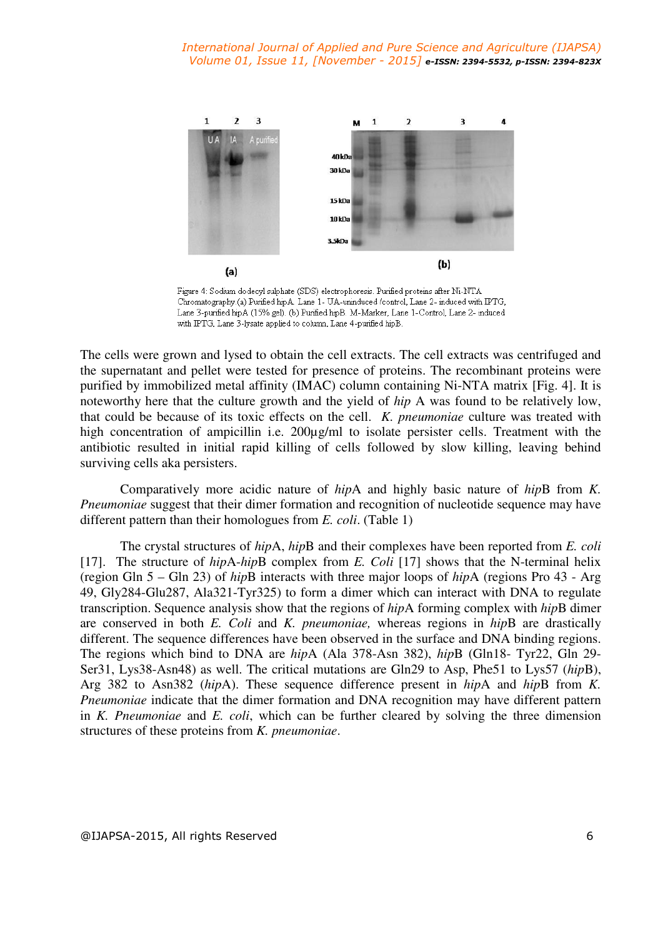

Figure 4: Sodium dodecyl sulphate (SDS) electrophoresis. Purified proteins after Ni-NTA Chromatography.(a) Purified hip A. Lane 1- UA-uninduced /control, Lane 2- induced with IPTG, Lane 3-purified hipA (15% gel). (b) Purified hipB. M-Marker, Lane 1-Control, Lane 2-induced with IPTG, Lane 3-lysate applied to column, Lane 4-purified hipB.

The cells were grown and lysed to obtain the cell extracts. The cell extracts was centrifuged and the supernatant and pellet were tested for presence of proteins. The recombinant proteins were purified by immobilized metal affinity (IMAC) column containing Ni-NTA matrix [Fig. 4]. It is noteworthy here that the culture growth and the yield of *hip* A was found to be relatively low, that could be because of its toxic effects on the cell. *K. pneumoniae* culture was treated with high concentration of ampicillin i.e. 200µg/ml to isolate persister cells. Treatment with the antibiotic resulted in initial rapid killing of cells followed by slow killing, leaving behind surviving cells aka persisters.

Comparatively more acidic nature of *hip*A and highly basic nature of *hip*B from *K. Pneumoniae* suggest that their dimer formation and recognition of nucleotide sequence may have different pattern than their homologues from *E. coli*. (Table 1)

The crystal structures of *hip*A, *hip*B and their complexes have been reported from *E. coli* [17]. The structure of *hip*A-*hip*B complex from *E. Coli* [17] shows that the N-terminal helix (region Gln 5 – Gln 23) of *hip*B interacts with three major loops of *hip*A (regions Pro 43 - Arg 49, Gly284-Glu287, Ala321-Tyr325) to form a dimer which can interact with DNA to regulate transcription. Sequence analysis show that the regions of *hip*A forming complex with *hip*B dimer are conserved in both *E. Coli* and *K. pneumoniae,* whereas regions in *hip*B are drastically different. The sequence differences have been observed in the surface and DNA binding regions. The regions which bind to DNA are *hip*A (Ala 378-Asn 382), *hip*B (Gln18- Tyr22, Gln 29- Ser31, Lys38-Asn48) as well. The critical mutations are Gln29 to Asp, Phe51 to Lys57 (*hip*B), Arg 382 to Asn382 (*hip*A). These sequence difference present in *hip*A and *hip*B from *K. Pneumoniae* indicate that the dimer formation and DNA recognition may have different pattern in *K. Pneumoniae* and *E. coli*, which can be further cleared by solving the three dimension structures of these proteins from *K. pneumoniae*.